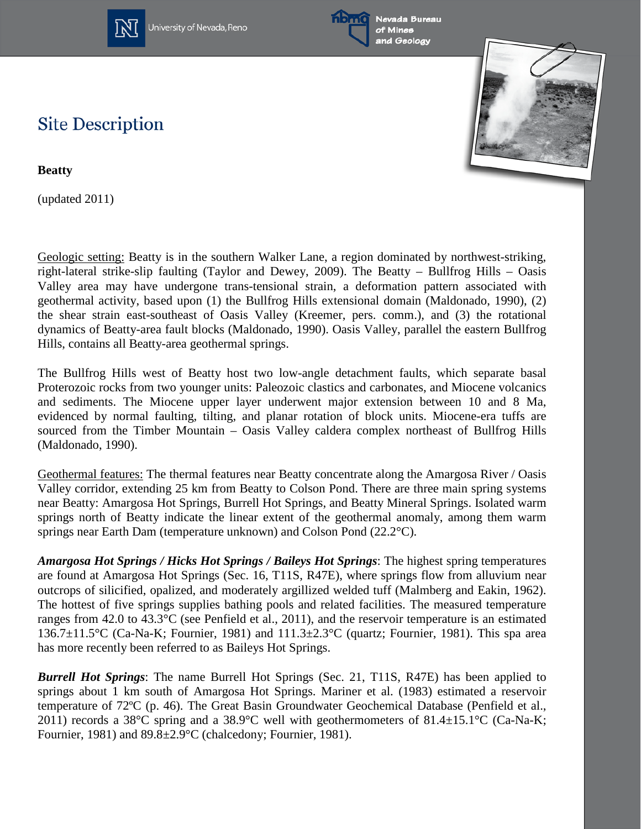

University of Nevada, Reno





## **Site Description**

**Beatty** 

(updated 2011)

Geologic setting: Beatty is in the southern Walker Lane, a region dominated by northwest-striking, right-lateral strike-slip faulting (Taylor and Dewey, 2009). The Beatty – Bullfrog Hills – Oasis Valley area may have undergone trans-tensional strain, a deformation pattern associated with geothermal activity, based upon (1) the Bullfrog Hills extensional domain (Maldonado, 1990), (2) the shear strain east-southeast of Oasis Valley (Kreemer, pers. comm.), and (3) the rotational dynamics of Beatty-area fault blocks (Maldonado, 1990). Oasis Valley, parallel the eastern Bullfrog Hills, contains all Beatty-area geothermal springs.

The Bullfrog Hills west of Beatty host two low-angle detachment faults, which separate basal Proterozoic rocks from two younger units: Paleozoic clastics and carbonates, and Miocene volcanics and sediments. The Miocene upper layer underwent major extension between 10 and 8 Ma, evidenced by normal faulting, tilting, and planar rotation of block units. Miocene-era tuffs are sourced from the Timber Mountain – Oasis Valley caldera complex northeast of Bullfrog Hills (Maldonado, 1990).

Geothermal features: The thermal features near Beatty concentrate along the Amargosa River / Oasis Valley corridor, extending 25 km from Beatty to Colson Pond. There are three main spring systems near Beatty: Amargosa Hot Springs, Burrell Hot Springs, and Beatty Mineral Springs. Isolated warm springs north of Beatty indicate the linear extent of the geothermal anomaly, among them warm springs near Earth Dam (temperature unknown) and Colson Pond (22.2°C).

*Amargosa Hot Springs / Hicks Hot Springs / Baileys Hot Springs*: The highest spring temperatures are found at Amargosa Hot Springs (Sec. 16, T11S, R47E), where springs flow from alluvium near outcrops of silicified, opalized, and moderately argillized welded tuff (Malmberg and Eakin, 1962). The hottest of five springs supplies bathing pools and related facilities. The measured temperature ranges from 42.0 to 43.3°C (see Penfield et al., 2011), and the reservoir temperature is an estimated 136.7 $\pm$ 11.5°C (Ca-Na-K; Fournier, 1981) and 111.3 $\pm$ 2.3°C (quartz; Fournier, 1981). This spa area has more recently been referred to as Baileys Hot Springs.

*Burrell Hot Springs*: The name Burrell Hot Springs (Sec. 21, T11S, R47E) has been applied to springs about 1 km south of Amargosa Hot Springs. Mariner et al. (1983) estimated a reservoir temperature of 72ºC (p. 46). The Great Basin Groundwater Geochemical Database (Penfield et al., 2011) records a 38°C spring and a 38.9°C well with geothermometers of 81.4 $\pm$ 15.1°C (Ca-Na-K; Fournier, 1981) and 89.8±2.9°C (chalcedony; Fournier, 1981).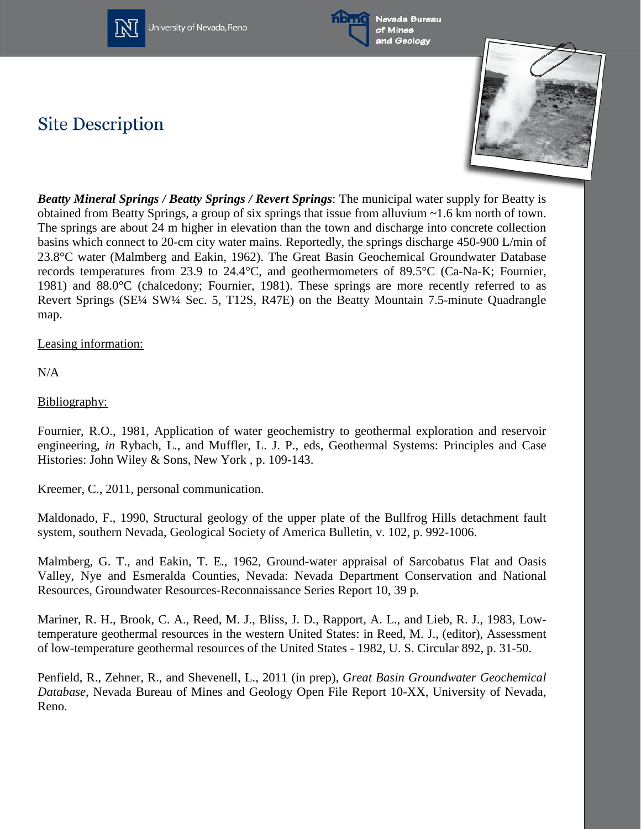

University of Nevada, Reno



Nevada Bureau of Mines and Geology

## **Site Description**



*Beatty Mineral Springs / Beatty Springs / Revert Springs*: The municipal water supply for Beatty is obtained from Beatty Springs, a group of six springs that issue from alluvium ~1.6 km north of town. The springs are about 24 m higher in elevation than the town and discharge into concrete collection basins which connect to 20-cm city water mains. Reportedly, the springs discharge 450-900 L/min of 23.8°C water (Malmberg and Eakin, 1962). The Great Basin Geochemical Groundwater Database records temperatures from 23.9 to 24.4°C, and geothermometers of 89.5°C (Ca-Na-K; Fournier, 1981) and 88.0°C (chalcedony; Fournier, 1981). These springs are more recently referred to as Revert Springs (SE¼ SW¼ Sec. 5, T12S, R47E) on the Beatty Mountain 7.5-minute Quadrangle map.

Leasing information:

N/A

Bibliography:

Fournier, R.O., 1981, Application of water geochemistry to geothermal exploration and reservoir engineering, *in* Rybach, L., and Muffler, L. J. P., eds, Geothermal Systems: Principles and Case Histories: John Wiley & Sons, New York , p. 109-143.

Kreemer, C., 2011, personal communication.

Maldonado, F., 1990, Structural geology of the upper plate of the Bullfrog Hills detachment fault system, southern Nevada, Geological Society of America Bulletin, v. 102, p. 992-1006.

Malmberg, G. T., and Eakin, T. E., 1962, Ground-water appraisal of Sarcobatus Flat and Oasis Valley, Nye and Esmeralda Counties, Nevada: Nevada Department Conservation and National Resources, Groundwater Resources-Reconnaissance Series Report 10, 39 p.

Mariner, R. H., Brook, C. A., Reed, M. J., Bliss, J. D., Rapport, A. L., and Lieb, R. J., 1983, Lowtemperature geothermal resources in the western United States: in Reed, M. J., (editor), Assessment of low-temperature geothermal resources of the United States - 1982, U. S. Circular 892, p. 31-50.

Penfield, R., Zehner, R., and Shevenell, L., 2011 (in prep), *Great Basin Groundwater Geochemical Database*, Nevada Bureau of Mines and Geology Open File Report 10-XX, University of Nevada, Reno.